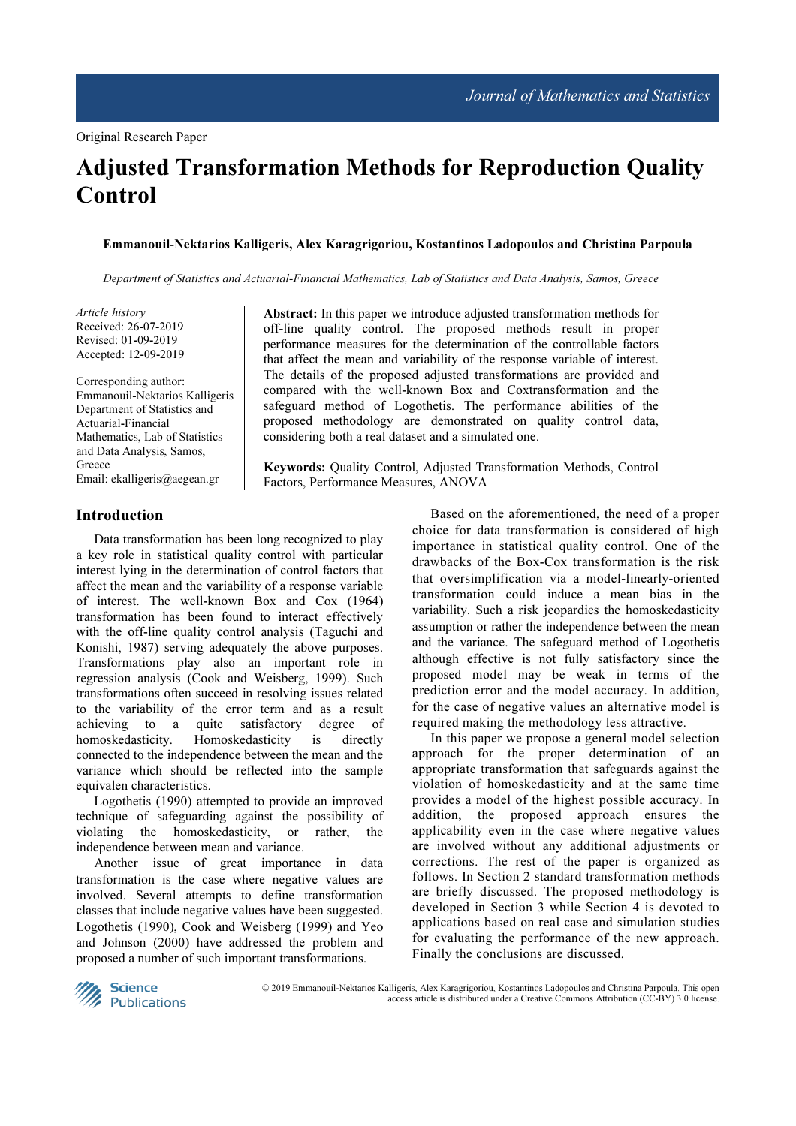# Adjusted Transformation Methods for Reproduction Quality **Control**

#### Emmanouil-Nektarios Kalligeris, Alex Karagrigoriou, Kostantinos Ladopoulos and Christina Parpoula

Department of Statistics and Actuarial-Financial Mathematics, Lab of Statistics and Data Analysis, Samos, Greece

Article history Received: 26-07-2019 Revised: 01-09-2019 Accepted: 12-09-2019

Corresponding author: Emmanouil-Nektarios Kalligeris Department of Statistics and Actuarial-Financial Mathematics, Lab of Statistics and Data Analysis, Samos, Greece Email: ekalligeris@aegean.gr

Introduction

Data transformation has been long recognized to play a key role in statistical quality control with particular interest lying in the determination of control factors that affect the mean and the variability of a response variable of interest. The well-known Box and Cox (1964) transformation has been found to interact effectively with the off-line quality control analysis (Taguchi and Konishi, 1987) serving adequately the above purposes. Transformations play also an important role in regression analysis (Cook and Weisberg, 1999). Such transformations often succeed in resolving issues related to the variability of the error term and as a result achieving to a quite satisfactory degree of homoskedasticity. Homoskedasticity is directly connected to the independence between the mean and the variance which should be reflected into the sample equivalen characteristics.

Logothetis (1990) attempted to provide an improved technique of safeguarding against the possibility of violating the homoskedasticity, or rather, the independence between mean and variance.

Another issue of great importance in data transformation is the case where negative values are involved. Several attempts to define transformation classes that include negative values have been suggested. Logothetis (1990), Cook and Weisberg (1999) and Yeo and Johnson (2000) have addressed the problem and proposed a number of such important transformations.

Abstract: In this paper we introduce adjusted transformation methods for off-line quality control. The proposed methods result in proper performance measures for the determination of the controllable factors that affect the mean and variability of the response variable of interest. The details of the proposed adjusted transformations are provided and compared with the well-known Box and Coxtransformation and the safeguard method of Logothetis. The performance abilities of the proposed methodology are demonstrated on quality control data, considering both a real dataset and a simulated one.

Keywords: Quality Control, Adjusted Transformation Methods, Control Factors, Performance Measures, ANOVA

> Based on the aforementioned, the need of a proper choice for data transformation is considered of high importance in statistical quality control. One of the drawbacks of the Box-Cox transformation is the risk that oversimplification via a model-linearly-oriented transformation could induce a mean bias in the variability. Such a risk jeopardies the homoskedasticity assumption or rather the independence between the mean and the variance. The safeguard method of Logothetis although effective is not fully satisfactory since the proposed model may be weak in terms of the prediction error and the model accuracy. In addition, for the case of negative values an alternative model is required making the methodology less attractive.

> In this paper we propose a general model selection approach for the proper determination of an appropriate transformation that safeguards against the violation of homoskedasticity and at the same time provides a model of the highest possible accuracy. In addition, the proposed approach ensures the applicability even in the case where negative values are involved without any additional adjustments or corrections. The rest of the paper is organized as follows. In Section 2 standard transformation methods are briefly discussed. The proposed methodology is developed in Section 3 while Section 4 is devoted to applications based on real case and simulation studies for evaluating the performance of the new approach. Finally the conclusions are discussed.



 © 2019 Emmanouil-Nektarios Kalligeris, Alex Karagrigoriou, Kostantinos Ladopoulos and Christina Parpoula. This open access article is distributed under a Creative Commons Attribution (CC-BY) 3.0 license.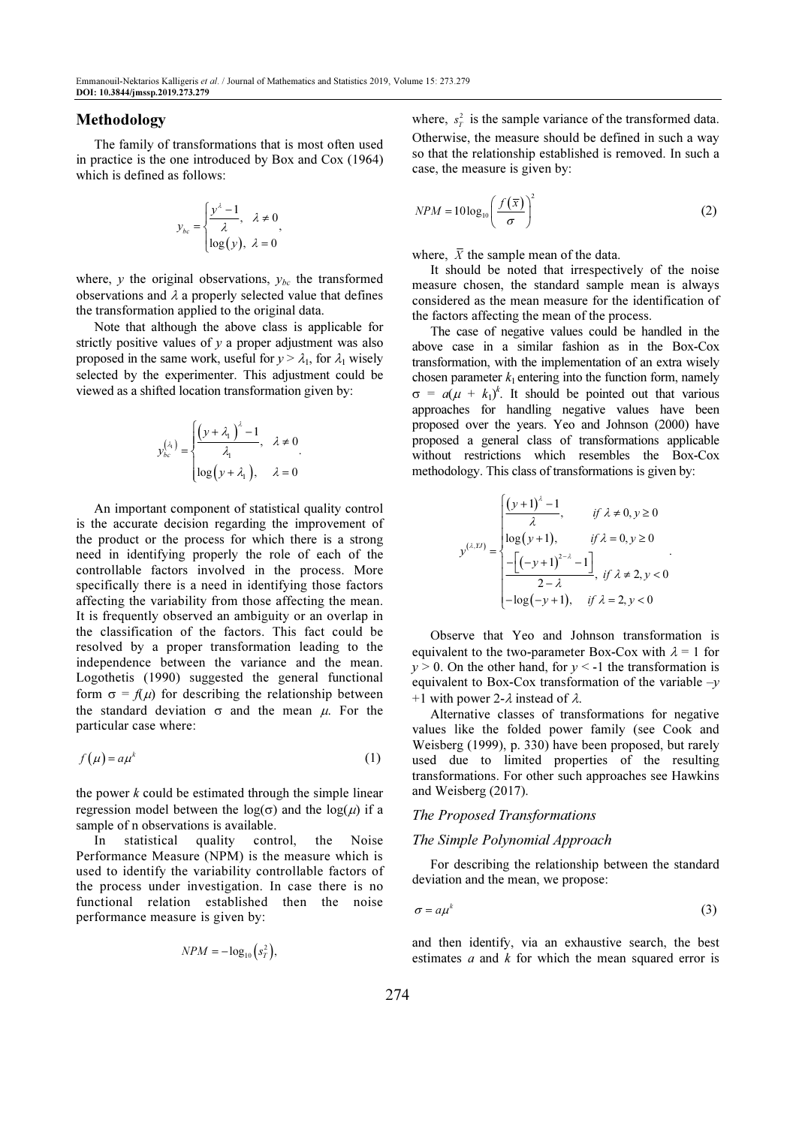## Methodology

The family of transformations that is most often used in practice is the one introduced by Box and Cox (1964) which is defined as follows:

$$
y_{bc} = \begin{cases} \frac{y^{\lambda} - 1}{\lambda}, & \lambda \neq 0 \\ \log(y), & \lambda = 0 \end{cases}
$$

where,  $y$  the original observations,  $y_{bc}$  the transformed observations and  $\lambda$  a properly selected value that defines the transformation applied to the original data.

Note that although the above class is applicable for strictly positive values of  $y$  a proper adjustment was also proposed in the same work, useful for  $y > \lambda_1$ , for  $\lambda_1$  wisely selected by the experimenter. This adjustment could be viewed as a shifted location transformation given by:

$$
y_{bc}^{(\lambda)} = \begin{cases} \left(y + \lambda_1\right)^{\lambda} - 1, & \lambda \neq 0 \\ \lambda_1, & \lambda = 0 \end{cases}
$$

$$
\log(y + \lambda_1), \lambda = 0
$$

An important component of statistical quality control is the accurate decision regarding the improvement of the product or the process for which there is a strong need in identifying properly the role of each of the controllable factors involved in the process. More specifically there is a need in identifying those factors affecting the variability from those affecting the mean. It is frequently observed an ambiguity or an overlap in the classification of the factors. This fact could be resolved by a proper transformation leading to the independence between the variance and the mean. Logothetis (1990) suggested the general functional form  $\sigma = f(\mu)$  for describing the relationship between the standard deviation  $\sigma$  and the mean  $\mu$ . For the particular case where:

$$
f(\mu) = a\mu^k \tag{1}
$$

the power  $k$  could be estimated through the simple linear regression model between the  $log(σ)$  and the  $log(μ)$  if a sample of n observations is available.

In statistical quality control, the Noise Performance Measure (NPM) is the measure which is used to identify the variability controllable factors of the process under investigation. In case there is no functional relation established then the noise performance measure is given by:

$$
NPM = -\log_{10}\left(s_T^2\right),
$$

where,  $s_T^2$  is the sample variance of the transformed data. Otherwise, the measure should be defined in such a way so that the relationship established is removed. In such a case, the measure is given by:

$$
NPM = 10\log_{10}\left(\frac{f(\overline{x})}{\sigma}\right)^2\tag{2}
$$

where,  $\bar{X}$  the sample mean of the data.

It should be noted that irrespectively of the noise measure chosen, the standard sample mean is always considered as the mean measure for the identification of the factors affecting the mean of the process.

The case of negative values could be handled in the above case in a similar fashion as in the Box-Cox transformation, with the implementation of an extra wisely chosen parameter  $k_1$  entering into the function form, namely  $\sigma = a(\mu + k_1)^k$ . It should be pointed out that various approaches for handling negative values have been proposed over the years. Yeo and Johnson (2000) have proposed a general class of transformations applicable without restrictions which resembles the Box-Cox methodology. This class of transformations is given by:

$$
y^{(\lambda, U)} = \begin{cases} \frac{(y+1)^{\lambda} - 1}{\lambda}, & \text{if } \lambda \neq 0, y \ge 0\\ \log(y+1), & \text{if } \lambda = 0, y \ge 0\\ -\frac{\left[(-y+1)^{2-\lambda} - 1\right]}{2-\lambda}, & \text{if } \lambda \neq 2, y < 0\\ -\log(-y+1), & \text{if } \lambda = 2, y < 0 \end{cases}
$$

Observe that Yeo and Johnson transformation is equivalent to the two-parameter Box-Cox with  $\lambda = 1$  for  $y > 0$ . On the other hand, for  $y < -1$  the transformation is equivalent to Box-Cox transformation of the variable  $-v$ +1 with power 2- $\lambda$  instead of  $\lambda$ .

Alternative classes of transformations for negative values like the folded power family (see Cook and Weisberg (1999), p. 330) have been proposed, but rarely used due to limited properties of the resulting transformations. For other such approaches see Hawkins and Weisberg (2017).

#### The Proposed Transformations

#### The Simple Polynomial Approach

For describing the relationship between the standard deviation and the mean, we propose:

$$
\sigma = a\mu^k \tag{3}
$$

and then identify, via an exhaustive search, the best estimates  $a$  and  $k$  for which the mean squared error is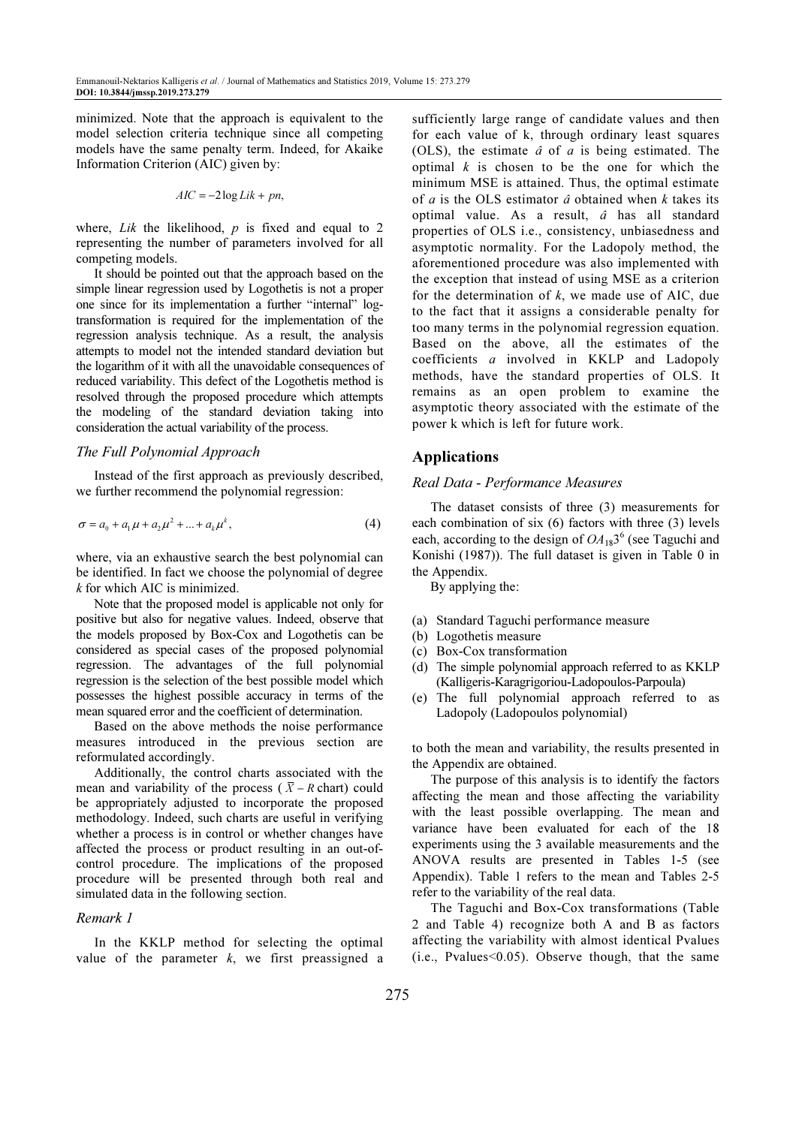minimized. Note that the approach is equivalent to the model selection criteria technique since all competing models have the same penalty term. Indeed, for Akaike Information Criterion (AIC) given by:

$$
AIC = -2\log Lik + pn,
$$

where, *Lik* the likelihood,  $p$  is fixed and equal to 2 representing the number of parameters involved for all competing models.

It should be pointed out that the approach based on the simple linear regression used by Logothetis is not a proper one since for its implementation a further "internal" logtransformation is required for the implementation of the regression analysis technique. As a result, the analysis attempts to model not the intended standard deviation but the logarithm of it with all the unavoidable consequences of reduced variability. This defect of the Logothetis method is resolved through the proposed procedure which attempts the modeling of the standard deviation taking into consideration the actual variability of the process.

#### The Full Polynomial Approach

Instead of the first approach as previously described, we further recommend the polynomial regression:

$$
\sigma = a_0 + a_1 \mu + a_2 \mu^2 + \dots + a_k \mu^k, \tag{4}
$$

where, via an exhaustive search the best polynomial can be identified. In fact we choose the polynomial of degree k for which AIC is minimized.

Note that the proposed model is applicable not only for positive but also for negative values. Indeed, observe that the models proposed by Box-Cox and Logothetis can be considered as special cases of the proposed polynomial regression. The advantages of the full polynomial regression is the selection of the best possible model which possesses the highest possible accuracy in terms of the mean squared error and the coefficient of determination.

Based on the above methods the noise performance measures introduced in the previous section are reformulated accordingly.

Additionally, the control charts associated with the mean and variability of the process ( $\overline{X}$  – R chart) could be appropriately adjusted to incorporate the proposed methodology. Indeed, such charts are useful in verifying whether a process is in control or whether changes have affected the process or product resulting in an out-ofcontrol procedure. The implications of the proposed procedure will be presented through both real and simulated data in the following section.

#### Remark 1

In the KKLP method for selecting the optimal value of the parameter  $k$ , we first preassigned a sufficiently large range of candidate values and then for each value of k, through ordinary least squares (OLS), the estimate  $\hat{a}$  of  $a$  is being estimated. The optimal  $k$  is chosen to be the one for which the minimum MSE is attained. Thus, the optimal estimate of  $a$  is the OLS estimator  $\hat{a}$  obtained when  $k$  takes its optimal value. As a result, â has all standard properties of OLS i.e., consistency, unbiasedness and asymptotic normality. For the Ladopoly method, the aforementioned procedure was also implemented with the exception that instead of using MSE as a criterion for the determination of  $k$ , we made use of AIC, due to the fact that it assigns a considerable penalty for too many terms in the polynomial regression equation. Based on the above, all the estimates of the coefficients a involved in KKLP and Ladopoly methods, have the standard properties of OLS. It remains as an open problem to examine the asymptotic theory associated with the estimate of the power k which is left for future work.

## Applications

#### Real Data - Performance Measures

The dataset consists of three (3) measurements for each combination of six (6) factors with three (3) levels each, according to the design of  $OA_{18}3^6$  (see Taguchi and Konishi (1987)). The full dataset is given in Table 0 in the Appendix.

By applying the:

- (a) Standard Taguchi performance measure
- (b) Logothetis measure
- (c) Box-Cox transformation
- (d) The simple polynomial approach referred to as KKLP (Kalligeris-Karagrigoriou-Ladopoulos-Parpoula)
- (e) The full polynomial approach referred to as Ladopoly (Ladopoulos polynomial)

to both the mean and variability, the results presented in the Appendix are obtained.

The purpose of this analysis is to identify the factors affecting the mean and those affecting the variability with the least possible overlapping. The mean and variance have been evaluated for each of the 18 experiments using the 3 available measurements and the ANOVA results are presented in Tables 1-5 (see Appendix). Table 1 refers to the mean and Tables 2-5 refer to the variability of the real data.

The Taguchi and Box-Cox transformations (Table 2 and Table 4) recognize both A and B as factors affecting the variability with almost identical Pvalues (i.e., Pvalues<0.05). Observe though, that the same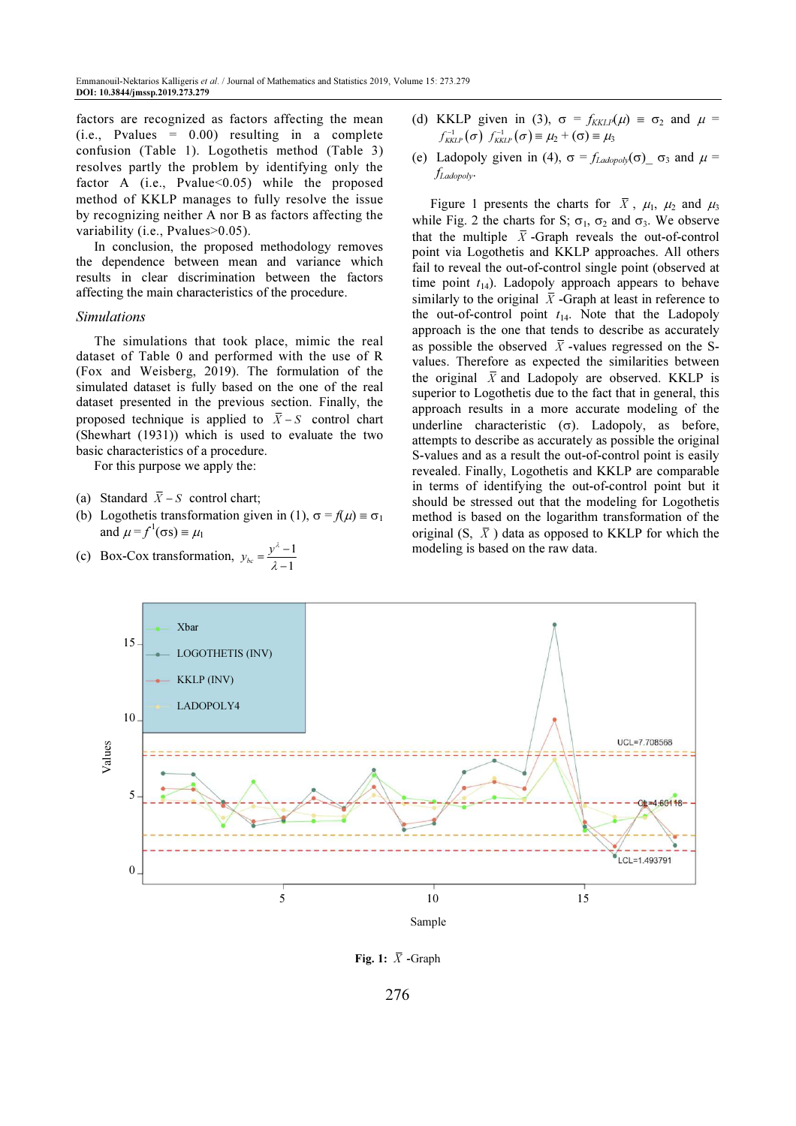factors are recognized as factors affecting the mean  $(i.e., Pvalues = 0.00)$  resulting in a complete confusion (Table 1). Logothetis method (Table 3) resolves partly the problem by identifying only the factor A (i.e., Pvalue $\leq 0.05$ ) while the proposed method of KKLP manages to fully resolve the issue by recognizing neither A nor B as factors affecting the variability (i.e., Pvalues>0.05).

In conclusion, the proposed methodology removes the dependence between mean and variance which results in clear discrimination between the factors affecting the main characteristics of the procedure.

#### Simulations

The simulations that took place, mimic the real dataset of Table 0 and performed with the use of R (Fox and Weisberg, 2019). The formulation of the simulated dataset is fully based on the one of the real dataset presented in the previous section. Finally, the proposed technique is applied to  $\overline{X} - S$  control chart (Shewhart (1931)) which is used to evaluate the two basic characteristics of a procedure.

For this purpose we apply the:

- (a) Standard  $\overline{X}$  S control chart;
- (b) Logothetis transformation given in (1),  $\sigma = f(\mu) = \sigma_1$ and  $\mu = f^1(\sigma s) \equiv \mu_1$ λ
- (c) Box-Cox transformation,  $y_{bc} = \frac{y^{\lambda} 1}{\lambda 1}$ λ  $=\frac{y^{\lambda}-y^{\lambda}-y^{\lambda}}{x-\lambda}$
- (d) KKLP given in (3),  $\sigma = f_{KKLP}(\mu) = \sigma_2$  and  $\mu =$  $f_{KKLP}^{-1}(\sigma) f_{KKLP}^{-1}(\sigma) \equiv \mu_2 + (\sigma) \equiv \mu_3$
- (e) Ladopoly given in (4),  $\sigma = f_{Ladonolv}(\sigma)$   $\sigma_3$  and  $\mu$  =  $f_{Ladopolv}$ .

Figure 1 presents the charts for  $\bar{X}$ ,  $\mu_1$ ,  $\mu_2$  and  $\mu_3$ while Fig. 2 the charts for S;  $\sigma_1$ ,  $\sigma_2$  and  $\sigma_3$ . We observe that the multiple  $\overline{X}$ -Graph reveals the out-of-control point via Logothetis and KKLP approaches. All others fail to reveal the out-of-control single point (observed at time point  $t_{14}$ ). Ladopoly approach appears to behave similarly to the original  $\overline{X}$  -Graph at least in reference to the out-of-control point  $t_{14}$ . Note that the Ladopoly approach is the one that tends to describe as accurately as possible the observed  $\bar{X}$ -values regressed on the Svalues. Therefore as expected the similarities between the original  $\overline{X}$  and Ladopoly are observed. KKLP is superior to Logothetis due to the fact that in general, this approach results in a more accurate modeling of the underline characteristic  $(\sigma)$ . Ladopoly, as before, attempts to describe as accurately as possible the original S-values and as a result the out-of-control point is easily revealed. Finally, Logothetis and KKLP are comparable in terms of identifying the out-of-control point but it should be stressed out that the modeling for Logothetis method is based on the logarithm transformation of the original (S,  $\overline{X}$ ) data as opposed to KKLP for which the modeling is based on the raw data.



Fig. 1:  $\overline{X}$  -Graph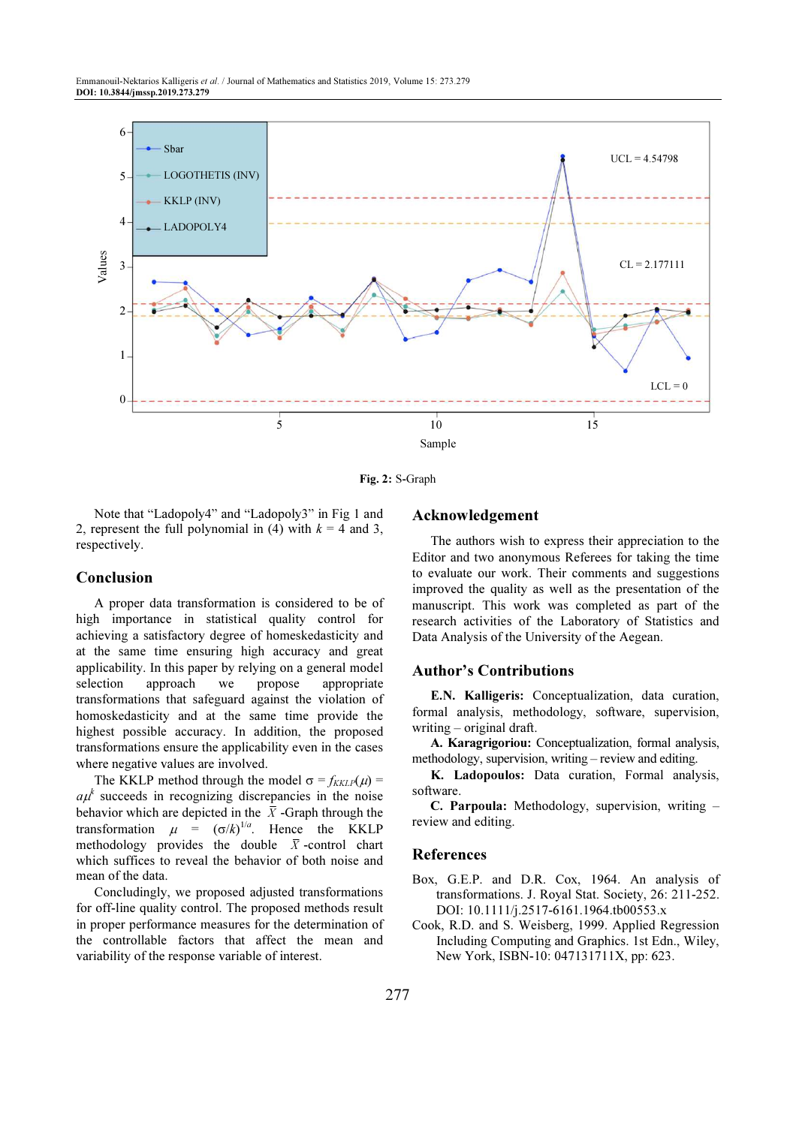

Fig. 2: S-Graph

Note that "Ladopoly4" and "Ladopoly3" in Fig 1 and 2, represent the full polynomial in (4) with  $k = 4$  and 3, respectively.

## Conclusion

A proper data transformation is considered to be of high importance in statistical quality control for achieving a satisfactory degree of homeskedasticity and at the same time ensuring high accuracy and great applicability. In this paper by relying on a general model selection approach we propose appropriate transformations that safeguard against the violation of homoskedasticity and at the same time provide the highest possible accuracy. In addition, the proposed transformations ensure the applicability even in the cases where negative values are involved.

The KKLP method through the model  $\sigma = f_{KKLP}(\mu)$  $a\mu^k$  succeeds in recognizing discrepancies in the noise behavior which are depicted in the  $\bar{X}$ -Graph through the transformation  $\mu = (\sigma/k)^{1/a}$ . Hence the KKLP methodology provides the double  $\overline{X}$ -control chart which suffices to reveal the behavior of both noise and mean of the data.

Concludingly, we proposed adjusted transformations for off-line quality control. The proposed methods result in proper performance measures for the determination of the controllable factors that affect the mean and variability of the response variable of interest.

## Acknowledgement

The authors wish to express their appreciation to the Editor and two anonymous Referees for taking the time to evaluate our work. Their comments and suggestions improved the quality as well as the presentation of the manuscript. This work was completed as part of the research activities of the Laboratory of Statistics and Data Analysis of the University of the Aegean.

## Author's Contributions

E.N. Kalligeris: Conceptualization, data curation, formal analysis, methodology, software, supervision, writing – original draft.

A. Karagrigoriou: Conceptualization, formal analysis, methodology, supervision, writing – review and editing.

K. Ladopoulos: Data curation, Formal analysis, software.

C. Parpoula: Methodology, supervision, writing – review and editing.

## References

- Box, G.E.P. and D.R. Cox, 1964. An analysis of transformations. J. Royal Stat. Society, 26: 211-252. DOI: 10.1111/j.2517-6161.1964.tb00553.x
- Cook, R.D. and S. Weisberg, 1999. Applied Regression Including Computing and Graphics. 1st Edn., Wiley, New York, ISBN-10: 047131711X, pp: 623.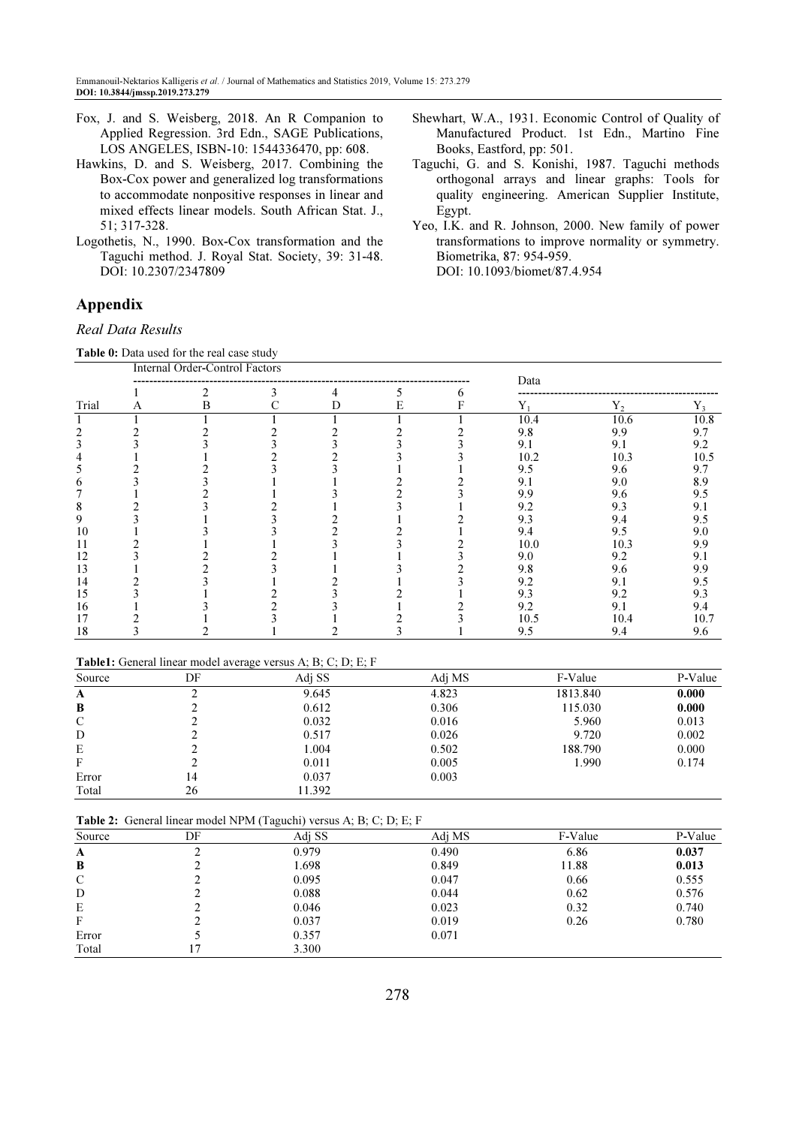- Fox, J. and S. Weisberg, 2018. An R Companion to Applied Regression. 3rd Edn., SAGE Publications, LOS ANGELES, ISBN-10: 1544336470, pp: 608.
- Hawkins, D. and S. Weisberg, 2017. Combining the Box-Cox power and generalized log transformations to accommodate nonpositive responses in linear and mixed effects linear models. South African Stat. J., 51; 317-328.
- Logothetis, N., 1990. Box-Cox transformation and the Taguchi method. J. Royal Stat. Society, 39: 31-48. DOI: 10.2307/2347809

## Appendix

Real Data Results

Table 0: Data used for the real case study

- Shewhart, W.A., 1931. Economic Control of Quality of Manufactured Product. 1st Edn., Martino Fine Books, Eastford, pp: 501.
- Taguchi, G. and S. Konishi, 1987. Taguchi methods orthogonal arrays and linear graphs: Tools for quality engineering. American Supplier Institute, Egypt.
- Yeo, I.K. and R. Johnson, 2000. New family of power transformations to improve normality or symmetry. Biometrika, 87: 954-959. DOI: 10.1093/biomet/87.4.954

|       |   | <b>Table 0.</b> Data used for the real case study<br><b>Internal Order-Control Factors</b> |   |   |   |       |       |       |
|-------|---|--------------------------------------------------------------------------------------------|---|---|---|-------|-------|-------|
|       |   | ↑                                                                                          |   | 5 | 6 | Data  |       |       |
| Trial | A | в                                                                                          | D | Е | F | $Y_1$ | $Y_2$ | $Y_3$ |
|       |   |                                                                                            |   |   |   | 10.4  | 10.6  | 10.8  |
|       |   |                                                                                            |   |   |   | 9.8   | 9.9   | 9.7   |
|       |   |                                                                                            |   |   |   | 9.1   | 9.1   | 9.2   |
|       |   |                                                                                            |   |   |   | 10.2  | 10.3  | 10.5  |
|       |   |                                                                                            |   |   |   | 9.5   | 9.6   | 9.7   |
|       |   |                                                                                            |   |   |   | 9.1   | 9.0   | 8.9   |
|       |   |                                                                                            |   |   |   | 9.9   | 9.6   | 9.5   |
|       |   |                                                                                            |   |   |   | 9.2   | 9.3   | 9.1   |
| 9     |   |                                                                                            |   |   |   | 9.3   | 9.4   | 9.5   |
| 10    |   |                                                                                            |   |   |   | 9.4   | 9.5   | 9.0   |
|       |   |                                                                                            |   |   |   | 10.0  | 10.3  | 9.9   |
| 12    |   |                                                                                            |   |   |   | 9.0   | 9.2   | 9.1   |
| 13    |   |                                                                                            |   |   |   | 9.8   | 9.6   | 9.9   |
| 14    |   |                                                                                            |   |   |   | 9.2   | 9.1   | 9.5   |
| 15    |   |                                                                                            |   |   |   | 9.3   | 9.2   | 9.3   |
| 16    |   |                                                                                            |   |   |   | 9.2   | 9.1   | 9.4   |
|       |   |                                                                                            |   |   |   | 10.5  | 10.4  | 10.7  |
| 18    |   |                                                                                            |   |   |   | 9.5   | 9.4   | 9.6   |

### Table1: General linear model average versus A; B; C; D; E; F

| DF | Adj SS | Adj MS | F-Value  | P-Value |
|----|--------|--------|----------|---------|
|    | 9.645  | 4.823  | 1813.840 | 0.000   |
|    | 0.612  | 0.306  | 115.030  | 0.000   |
|    | 0.032  | 0.016  | 5.960    | 0.013   |
|    | 0.517  | 0.026  | 9.720    | 0.002   |
|    | 1.004  | 0.502  | 188.790  | 0.000   |
|    | 0.011  | 0.005  | 1.990    | 0.174   |
| 14 | 0.037  | 0.003  |          |         |
| 26 | 11.392 |        |          |         |
|    |        |        |          |         |

Table 2: General linear model NPM (Taguchi) versus A; B; C; D; E; F

| Source | DF | Adj SS | Adj MS | F-Value | P-Value |
|--------|----|--------|--------|---------|---------|
| A      |    | 0.979  | 0.490  | 6.86    | 0.037   |
| B      |    | 1.698  | 0.849  | 11.88   | 0.013   |
| C      |    | 0.095  | 0.047  | 0.66    | 0.555   |
| D      |    | 0.088  | 0.044  | 0.62    | 0.576   |
| Е      |    | 0.046  | 0.023  | 0.32    | 0.740   |
| F      |    | 0.037  | 0.019  | 0.26    | 0.780   |
| Error  |    | 0.357  | 0.071  |         |         |
| Total  |    | 3.300  |        |         |         |